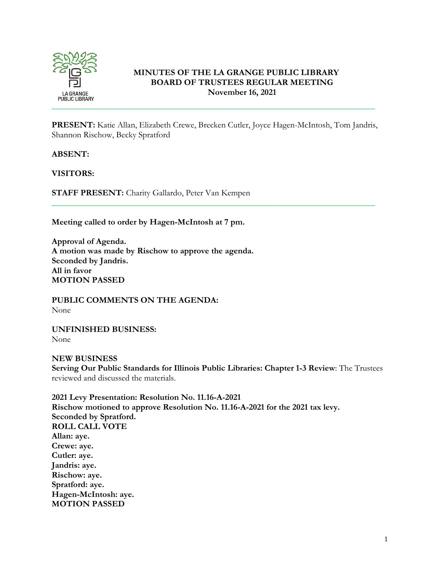

## **MINUTES OF THE LA GRANGE PUBLIC LIBRARY BOARD OF TRUSTEES REGULAR MEETING November 16, 2021**

**PRESENT:** Katie Allan, Elizabeth Crewe, Brecken Cutler, Joyce Hagen-McIntosh, Tom Jandris, Shannon Rischow, Becky Spratford

\_\_\_\_\_\_\_\_\_\_\_\_\_\_\_\_\_\_\_\_\_\_\_\_\_\_\_\_\_\_\_\_\_\_\_\_\_\_\_\_\_\_\_\_\_\_\_\_\_\_\_\_\_\_\_\_\_\_\_\_\_\_\_\_\_\_\_\_\_\_\_\_\_\_\_

**ABSENT:**

**VISITORS:** 

**STAFF PRESENT:** Charity Gallardo, Peter Van Kempen

**Meeting called to order by Hagen-McIntosh at 7 pm.**

**Approval of Agenda. A motion was made by Rischow to approve the agenda. Seconded by Jandris. All in favor MOTION PASSED**

**PUBLIC COMMENTS ON THE AGENDA:**  None

**UNFINISHED BUSINESS:** None

**NEW BUSINESS Serving Our Public Standards for Illinois Public Libraries: Chapter 1-3 Review**: The Trustees reviewed and discussed the materials.

**2021 Levy Presentation: Resolution No. 11.16-A-2021 Rischow motioned to approve Resolution No. 11.16-A-2021 for the 2021 tax levy. Seconded by Spratford. ROLL CALL VOTE Allan: aye. Crewe: aye. Cutler: aye. Jandris: aye. Rischow: aye. Spratford: aye. Hagen-McIntosh: aye. MOTION PASSED**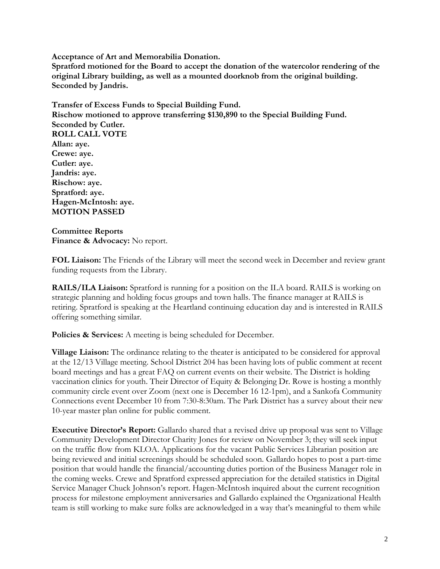**Acceptance of Art and Memorabilia Donation. Spratford motioned for the Board to accept the donation of the watercolor rendering of the original Library building, as well as a mounted doorknob from the original building. Seconded by Jandris.**

**Transfer of Excess Funds to Special Building Fund. Rischow motioned to approve transferring \$130,890 to the Special Building Fund. Seconded by Cutler. ROLL CALL VOTE Allan: aye. Crewe: aye. Cutler: aye. Jandris: aye. Rischow: aye. Spratford: aye. Hagen-McIntosh: aye. MOTION PASSED**

**Committee Reports Finance & Advocacy:** No report.

**FOL Liaison:** The Friends of the Library will meet the second week in December and review grant funding requests from the Library.

**RAILS/ILA Liaison:** Spratford is running for a position on the ILA board. RAILS is working on strategic planning and holding focus groups and town halls. The finance manager at RAILS is retiring. Spratford is speaking at the Heartland continuing education day and is interested in RAILS offering something similar.

**Policies & Services:** A meeting is being scheduled for December.

**Village Liaison:** The ordinance relating to the theater is anticipated to be considered for approval at the 12/13 Village meeting. School District 204 has been having lots of public comment at recent board meetings and has a great FAQ on current events on their website. The District is holding vaccination clinics for youth. Their Director of Equity & Belonging Dr. Rowe is hosting a monthly community circle event over Zoom (next one is December 16 12-1pm), and a Sankofa Community Connections event December 10 from 7:30-8:30am. The Park District has a survey about their new 10-year master plan online for public comment.

**Executive Director's Report:** Gallardo shared that a revised drive up proposal was sent to Village Community Development Director Charity Jones for review on November 3; they will seek input on the traffic flow from KLOA. Applications for the vacant Public Services Librarian position are being reviewed and initial screenings should be scheduled soon. Gallardo hopes to post a part-time position that would handle the financial/accounting duties portion of the Business Manager role in the coming weeks. Crewe and Spratford expressed appreciation for the detailed statistics in Digital Service Manager Chuck Johnson's report. Hagen-McIntosh inquired about the current recognition process for milestone employment anniversaries and Gallardo explained the Organizational Health team is still working to make sure folks are acknowledged in a way that's meaningful to them while